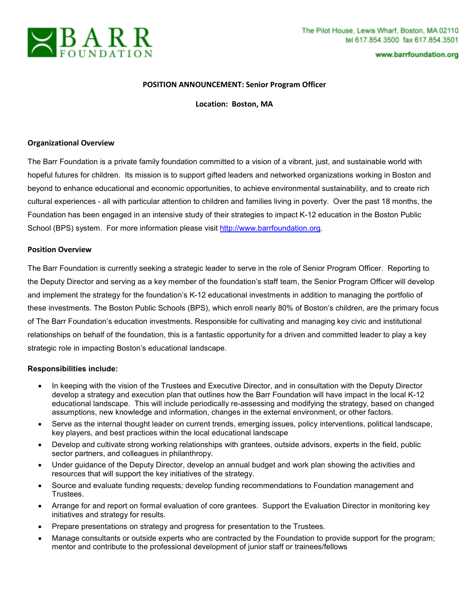

www.barrfoundation.org

## **POSITION ANNOUNCEMENT: Senior Program Officer**

**Location: Boston, MA** 

#### **Organizational Overview**

The Barr Foundation is a private family foundation committed to a vision of a vibrant, just, and sustainable world with hopeful futures for children. Its mission is to support gifted leaders and networked organizations working in Boston and beyond to enhance educational and economic opportunities, to achieve environmental sustainability, and to create rich cultural experiences - all with particular attention to children and families living in poverty. Over the past 18 months, the Foundation has been engaged in an intensive study of their strategies to impact K-12 education in the Boston Public School (BPS) system. For more information please visit http://www.barrfoundation.org.

#### **Position Overview**

The Barr Foundation is currently seeking a strategic leader to serve in the role of Senior Program Officer. Reporting to the Deputy Director and serving as a key member of the foundation's staff team, the Senior Program Officer will develop and implement the strategy for the foundation's K-12 educational investments in addition to managing the portfolio of these investments. The Boston Public Schools (BPS), which enroll nearly 80% of Boston's children, are the primary focus of The Barr Foundation's education investments. Responsible for cultivating and managing key civic and institutional relationships on behalf of the foundation, this is a fantastic opportunity for a driven and committed leader to play a key strategic role in impacting Boston's educational landscape.

## **Responsibilities include:**

- In keeping with the vision of the Trustees and Executive Director, and in consultation with the Deputy Director develop a strategy and execution plan that outlines how the Barr Foundation will have impact in the local K-12 educational landscape. This will include periodically re-assessing and modifying the strategy, based on changed assumptions, new knowledge and information, changes in the external environment, or other factors.
- Serve as the internal thought leader on current trends, emerging issues, policy interventions, political landscape, key players, and best practices within the local educational landscape
- Develop and cultivate strong working relationships with grantees, outside advisors, experts in the field, public sector partners, and colleagues in philanthropy.
- Under guidance of the Deputy Director, develop an annual budget and work plan showing the activities and resources that will support the key initiatives of the strategy.
- Source and evaluate funding requests*;* develop funding recommendations to Foundation management and Trustees.
- Arrange for and report on formal evaluation of core grantees. Support the Evaluation Director in monitoring key initiatives and strategy for results.
- Prepare presentations on strategy and progress for presentation to the Trustees.
- Manage consultants or outside experts who are contracted by the Foundation to provide support for the program; mentor and contribute to the professional development of junior staff or trainees/fellows